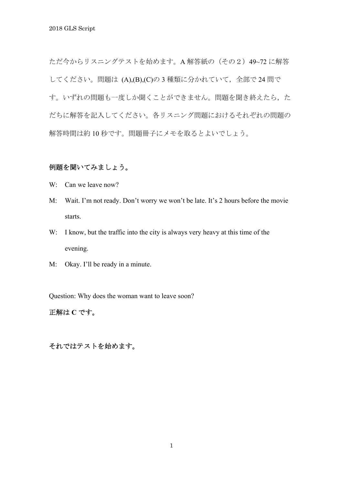ただ今からリスニングテストを始めます。A 解答紙の(その2)49~72 に解答 してください。問題は (A),(B),(C)の3種類に分かれていて、全部で24 問で す。いずれの問題も一度しか聞くことができません。問題を聞き終えたら、た だちに解答を記入してください。各リスニング問題におけるそれぞれの問題の 解答時間は約 10 秒です。問題冊子にメモを取るとよいでしょう。

# 例題を聞いてみましょう。

- W: Can we leave now?
- M: Wait. I'm not ready. Don't worry we won't be late. It's 2 hours before the movie starts.
- W: I know, but the traffic into the city is always very heavy at this time of the evening.
- M: Okay. I'll be ready in a minute.

Question: Why does the woman want to leave soon?

# 正解は **C** です。

それではテストを始めます。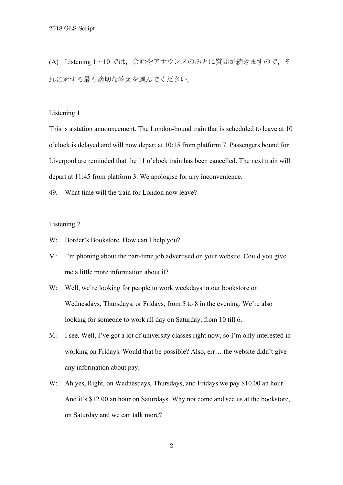(A) Listening 1~10 では,会話やアナウンスのあとに質問が続きますので,そ れに対する最も適切な答えを選んでください。

### Listening 1

This is a station announcement. The London-bound train that is scheduled to leave at 10 o'clock is delayed and will now depart at 10:15 from platform 7. Passengers bound for Liverpool are reminded that the 11 o'clock train has been cancelled. The next train will depart at 11:45 from platform 3. We apologise for any inconvenience.

49. What time will the train for London now leave?

- W: Border's Bookstore. How can I help you?
- M: I'm phoning about the part-time job advertised on your website. Could you give me a little more information about it?
- W: Well, we're looking for people to work weekdays in our bookstore on Wednesdays, Thursdays, or Fridays, from 5 to 8 in the evening. We're also looking for someone to work all day on Saturday, from 10 till 6.
- M: I see. Well, I've got a lot of university classes right now, so I'm only interested in working on Fridays. Would that be possible? Also, err… the website didn't give any information about pay.
- W: Ah yes, Right, on Wednesdays, Thursdays, and Fridays we pay \$10.00 an hour. And it's \$12.00 an hour on Saturdays. Why not come and see us at the bookstore, on Saturday and we can talk more?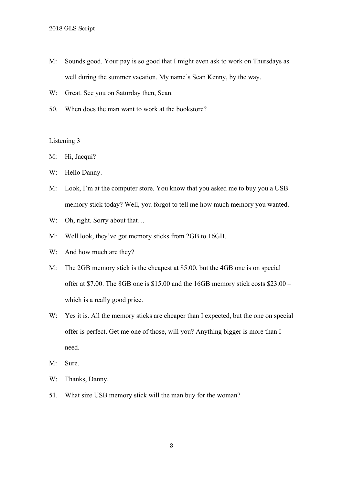- M: Sounds good. Your pay is so good that I might even ask to work on Thursdays as well during the summer vacation. My name's Sean Kenny, by the way.
- W: Great. See you on Saturday then, Sean.
- 50. When does the man want to work at the bookstore?

- M: Hi, Jacqui?
- W: Hello Danny.
- M: Look, I'm at the computer store. You know that you asked me to buy you a USB memory stick today? Well, you forgot to tell me how much memory you wanted.
- W: Oh, right. Sorry about that...
- M: Well look, they've got memory sticks from 2GB to 16GB.
- W: And how much are they?
- M: The 2GB memory stick is the cheapest at \$5.00, but the 4GB one is on special offer at \$7.00. The 8GB one is \$15.00 and the 16GB memory stick costs \$23.00 – which is a really good price.
- W: Yes it is. All the memory sticks are cheaper than I expected, but the one on special offer is perfect. Get me one of those, will you? Anything bigger is more than I need.
- M: Sure.
- W: Thanks, Danny.
- 51. What size USB memory stick will the man buy for the woman?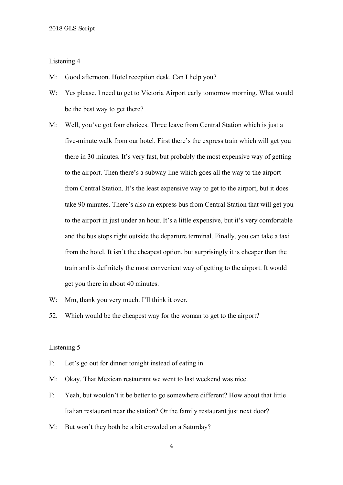- M: Good afternoon. Hotel reception desk. Can I help you?
- W: Yes please. I need to get to Victoria Airport early tomorrow morning. What would be the best way to get there?
- M: Well, you've got four choices. Three leave from Central Station which is just a five-minute walk from our hotel. First there's the express train which will get you there in 30 minutes. It's very fast, but probably the most expensive way of getting to the airport. Then there's a subway line which goes all the way to the airport from Central Station. It's the least expensive way to get to the airport, but it does take 90 minutes. There's also an express bus from Central Station that will get you to the airport in just under an hour. It's a little expensive, but it's very comfortable and the bus stops right outside the departure terminal. Finally, you can take a taxi from the hotel. It isn't the cheapest option, but surprisingly it is cheaper than the train and is definitely the most convenient way of getting to the airport. It would get you there in about 40 minutes.
- W: Mm, thank you very much. I'll think it over.
- 52. Which would be the cheapest way for the woman to get to the airport?

#### Listening 5

- F: Let's go out for dinner tonight instead of eating in.
- M: Okay. That Mexican restaurant we went to last weekend was nice.
- F: Yeah, but wouldn't it be better to go somewhere different? How about that little Italian restaurant near the station? Or the family restaurant just next door?
- M: But won't they both be a bit crowded on a Saturday?

4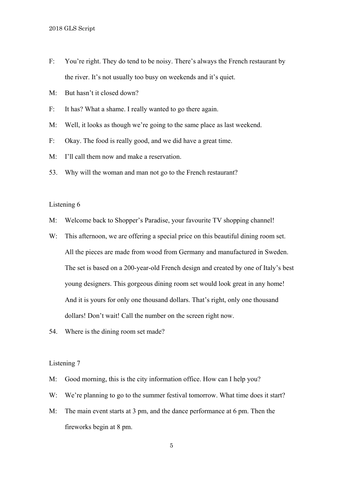- F: You're right. They do tend to be noisy. There's always the French restaurant by the river. It's not usually too busy on weekends and it's quiet.
- M: But hasn't it closed down?
- F: It has? What a shame. I really wanted to go there again.
- M: Well, it looks as though we're going to the same place as last weekend.
- F: Okay. The food is really good, and we did have a great time.
- M: I'll call them now and make a reservation.
- 53. Why will the woman and man not go to the French restaurant?

- M: Welcome back to Shopper's Paradise, your favourite TV shopping channel!
- W: This afternoon, we are offering a special price on this beautiful dining room set. All the pieces are made from wood from Germany and manufactured in Sweden. The set is based on a 200-year-old French design and created by one of Italy's best young designers. This gorgeous dining room set would look great in any home! And it is yours for only one thousand dollars. That's right, only one thousand dollars! Don't wait! Call the number on the screen right now.
- 54. Where is the dining room set made?

- M: Good morning, this is the city information office. How can I help you?
- W: We're planning to go to the summer festival tomorrow. What time does it start?
- M: The main event starts at 3 pm, and the dance performance at 6 pm. Then the fireworks begin at 8 pm.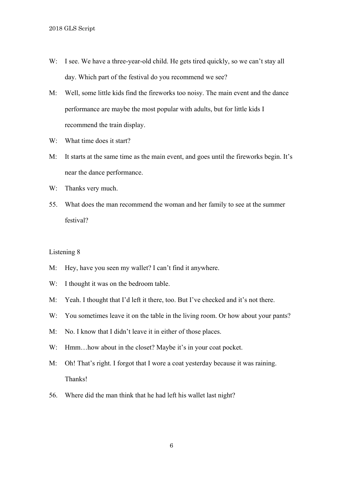- W: I see. We have a three-year-old child. He gets tired quickly, so we can't stay all day. Which part of the festival do you recommend we see?
- M: Well, some little kids find the fireworks too noisy. The main event and the dance performance are maybe the most popular with adults, but for little kids I recommend the train display.
- W: What time does it start?
- M: It starts at the same time as the main event, and goes until the fireworks begin. It's near the dance performance.
- W: Thanks very much.
- 55. What does the man recommend the woman and her family to see at the summer festival?

- M: Hey, have you seen my wallet? I can't find it anywhere.
- W: I thought it was on the bedroom table.
- M: Yeah. I thought that I'd left it there, too. But I've checked and it's not there.
- W: You sometimes leave it on the table in the living room. Or how about your pants?
- M: No. I know that I didn't leave it in either of those places.
- W: Hmm...how about in the closet? Maybe it's in your coat pocket.
- M: Oh! That's right. I forgot that I wore a coat yesterday because it was raining. Thanks!
- 56. Where did the man think that he had left his wallet last night?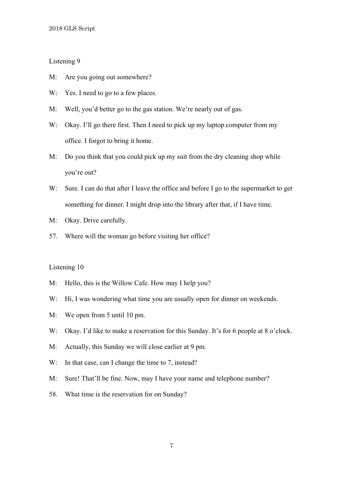- M: Are you going out somewhere?
- W: Yes. I need to go to a few places.
- M: Well, you'd better go to the gas station. We're nearly out of gas.
- W: Okay. I'll go there first. Then I need to pick up my laptop computer from my office. I forgot to bring it home.
- M: Do you think that you could pick up my suit from the dry cleaning shop while you're out?
- W: Sure. I can do that after I leave the office and before I go to the supermarket to get something for dinner. I might drop into the library after that, if I have time.
- M: Okay. Drive carefully.
- 57. Where will the woman go before visiting her office?

- M: Hello, this is the Willow Cafe. How may I help you?
- W: Hi, I was wondering what time you are usually open for dinner on weekends.
- M: We open from 5 until 10 pm.
- W: Okay. I'd like to make a reservation for this Sunday. It's for 6 people at 8 o'clock.
- M: Actually, this Sunday we will close earlier at 9 pm.
- W: In that case, can I change the time to 7, instead?
- M: Sure! That'll be fine. Now, may I have your name and telephone number?
- 58. What time is the reservation for on Sunday?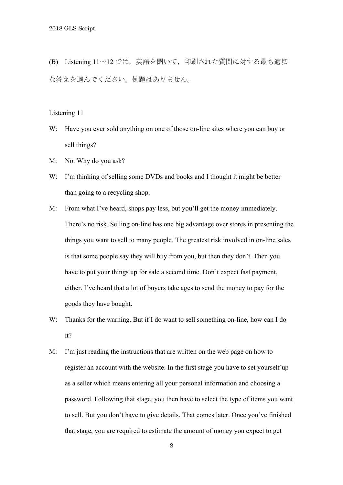(B) Listening 11~12 では,英語を聞いて,印刷された質問に対する最も適切 な答えを選んでください。例題はありません。

Listening 11

- W: Have you ever sold anything on one of those on-line sites where you can buy or sell things?
- M: No. Why do you ask?
- W: I'm thinking of selling some DVDs and books and I thought it might be better than going to a recycling shop.
- M: From what I've heard, shops pay less, but you'll get the money immediately. There's no risk. Selling on-line has one big advantage over stores in presenting the things you want to sell to many people. The greatest risk involved in on-line sales is that some people say they will buy from you, but then they don't. Then you have to put your things up for sale a second time. Don't expect fast payment, either. I've heard that a lot of buyers take ages to send the money to pay for the goods they have bought.
- W: Thanks for the warning. But if I do want to sell something on-line, how can I do it?
- M: I'm just reading the instructions that are written on the web page on how to register an account with the website. In the first stage you have to set yourself up as a seller which means entering all your personal information and choosing a password. Following that stage, you then have to select the type of items you want to sell. But you don't have to give details. That comes later. Once you've finished that stage, you are required to estimate the amount of money you expect to get

8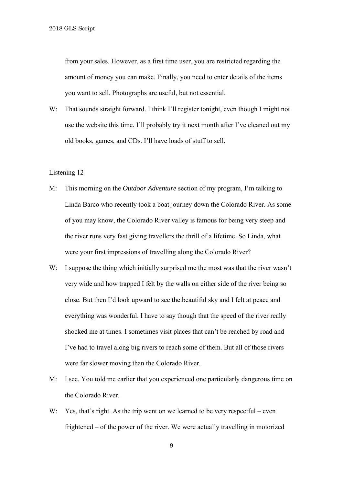from your sales. However, as a first time user, you are restricted regarding the amount of money you can make. Finally, you need to enter details of the items you want to sell. Photographs are useful, but not essential.

W: That sounds straight forward. I think I'll register tonight, even though I might not use the website this time. I'll probably try it next month after I've cleaned out my old books, games, and CDs. I'll have loads of stuff to sell.

#### Listening 12

- M: This morning on the *Outdoor Adventure* section of my program, I'm talking to Linda Barco who recently took a boat journey down the Colorado River. As some of you may know, the Colorado River valley is famous for being very steep and the river runs very fast giving travellers the thrill of a lifetime. So Linda, what were your first impressions of travelling along the Colorado River?
- W: I suppose the thing which initially surprised me the most was that the river wasn't very wide and how trapped I felt by the walls on either side of the river being so close. But then I'd look upward to see the beautiful sky and I felt at peace and everything was wonderful. I have to say though that the speed of the river really shocked me at times. I sometimes visit places that can't be reached by road and I've had to travel along big rivers to reach some of them. But all of those rivers were far slower moving than the Colorado River.
- M: I see. You told me earlier that you experienced one particularly dangerous time on the Colorado River.
- W: Yes, that's right. As the trip went on we learned to be very respectful even frightened – of the power of the river. We were actually travelling in motorized

9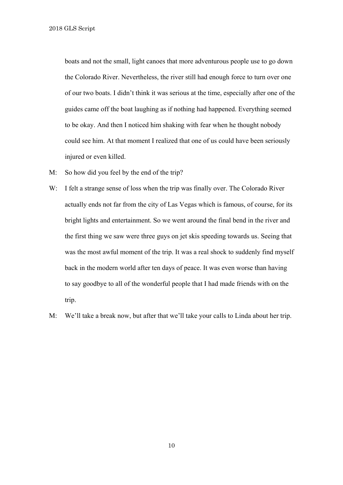boats and not the small, light canoes that more adventurous people use to go down the Colorado River. Nevertheless, the river still had enough force to turn over one of our two boats. I didn't think it was serious at the time, especially after one of the guides came off the boat laughing as if nothing had happened. Everything seemed to be okay. And then I noticed him shaking with fear when he thought nobody could see him. At that moment I realized that one of us could have been seriously injured or even killed.

- M: So how did you feel by the end of the trip?
- W: I felt a strange sense of loss when the trip was finally over. The Colorado River actually ends not far from the city of Las Vegas which is famous, of course, for its bright lights and entertainment. So we went around the final bend in the river and the first thing we saw were three guys on jet skis speeding towards us. Seeing that was the most awful moment of the trip. It was a real shock to suddenly find myself back in the modern world after ten days of peace. It was even worse than having to say goodbye to all of the wonderful people that I had made friends with on the trip.
- M: We'll take a break now, but after that we'll take your calls to Linda about her trip.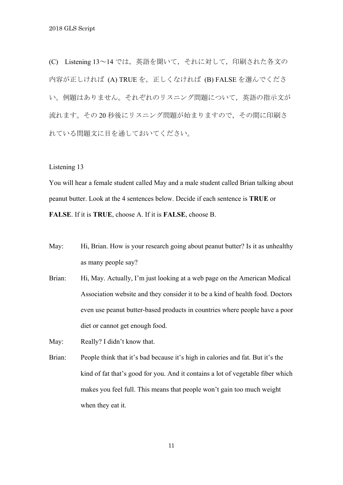(C) Listening 13~14 では,英語を聞いて,それに対して,印刷された各文の 内容が正しければ (A) TRUE を、正しくなければ (B) FALSE を選んでくださ い。例題はありません。それぞれのリスニング問題について,英語の指示文が 流れます。その20秒後にリスニング問題が始まりますので、その間に印刷さ れている問題文に目を通しておいてください。

Listening 13

You will hear a female student called May and a male student called Brian talking about peanut butter. Look at the 4 sentences below. Decide if each sentence is **TRUE** or **FALSE**. If it is **TRUE**, choose A. If it is **FALSE**, choose B.

- May: Hi, Brian. How is your research going about peanut butter? Is it as unhealthy as many people say?
- Brian: Hi, May. Actually, I'm just looking at a web page on the American Medical Association website and they consider it to be a kind of health food. Doctors even use peanut butter-based products in countries where people have a poor diet or cannot get enough food.

May: Really? I didn't know that.

Brian: People think that it's bad because it's high in calories and fat. But it's the kind of fat that's good for you. And it contains a lot of vegetable fiber which makes you feel full. This means that people won't gain too much weight when they eat it.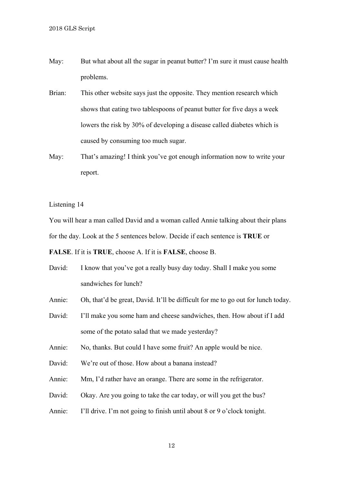- May: But what about all the sugar in peanut butter? I'm sure it must cause health problems.
- Brian: This other website says just the opposite. They mention research which shows that eating two tablespoons of peanut butter for five days a week lowers the risk by 30% of developing a disease called diabetes which is caused by consuming too much sugar.
- May: That's amazing! I think you've got enough information now to write your report.

You will hear a man called David and a woman called Annie talking about their plans for the day. Look at the 5 sentences below. Decide if each sentence is **TRUE** or

**FALSE**. If it is **TRUE**, choose A. If it is **FALSE**, choose B.

David: I know that you've got a really busy day today. Shall I make you some sandwiches for lunch?

Annie: Oh, that'd be great, David. It'll be difficult for me to go out for lunch today.

David: I'll make you some ham and cheese sandwiches, then. How about if I add some of the potato salad that we made yesterday?

Annie: No, thanks. But could I have some fruit? An apple would be nice.

- David: We're out of those. How about a banana instead?
- Annie: Mm, I'd rather have an orange. There are some in the refrigerator.
- David: Okay. Are you going to take the car today, or will you get the bus?
- Annie: I'll drive. I'm not going to finish until about 8 or 9 o'clock tonight.